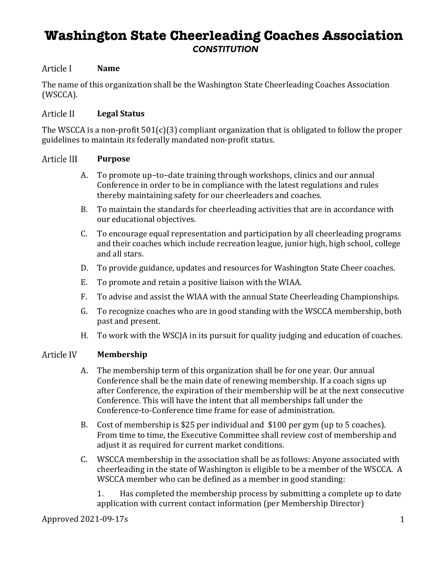# **Washington State Cheerleading Coaches Association** *CONSTITUTION*

#### Article I **Name**

The name of this organization shall be the Washington State Cheerleading Coaches Association (WSCCA). 

#### Article II **Legal Status**

The WSCCA is a non-profit  $501(c)(3)$  compliant organization that is obligated to follow the proper guidelines to maintain its federally mandated non-profit status.

#### Article III **Purpose**

- A. To promote up-to-date training through workshops, clinics and our annual Conference in order to be in compliance with the latest regulations and rules thereby maintaining safety for our cheerleaders and coaches.
- B. To maintain the standards for cheerleading activities that are in accordance with our educational objectives.
- C. To encourage equal representation and participation by all cheerleading programs and their coaches which include recreation league, junior high, high school, college and all stars.
- D. To provide guidance, updates and resources for Washington State Cheer coaches.
- E. To promote and retain a positive liaison with the WIAA.
- F. To advise and assist the WIAA with the annual State Cheerleading Championships.
- G. To recognize coaches who are in good standing with the WSCCA membership, both past and present.
- H. To work with the WSCJA in its pursuit for quality judging and education of coaches.

#### Article IV **Membership**

- A. The membership term of this organization shall be for one year. Our annual Conference shall be the main date of renewing membership. If a coach signs up after Conference, the expiration of their membership will be at the next consecutive Conference. This will have the intent that all memberships fall under the Conference-to-Conference time frame for ease of administration.
- B. Cost of membership is \$25 per individual and \$100 per gym (up to 5 coaches). From time to time, the Executive Committee shall review cost of membership and adjust it as required for current market conditions.
- C. WSCCA membership in the association shall be as follows: Anyone associated with cheerleading in the state of Washington is eligible to be a member of the WSCCA. A WSCCA member who can be defined as a member in good standing:

1. Has completed the membership process by submitting a complete up to date application with current contact information (per Membership Director)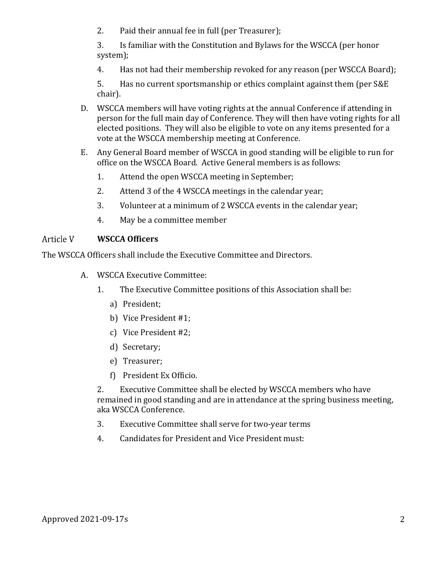2. Paid their annual fee in full (per Treasurer);

3. Is familiar with the Constitution and Bylaws for the WSCCA (per honor system);

4. Has not had their membership revoked for any reason (per WSCCA Board);

5. Has no current sportsmanship or ethics complaint against them (per S&E chair).

- D. WSCCA members will have voting rights at the annual Conference if attending in person for the full main day of Conference. They will then have voting rights for all elected positions. They will also be eligible to vote on any items presented for a vote at the WSCCA membership meeting at Conference.
- E. Any General Board member of WSCCA in good standing will be eligible to run for office on the WSCCA Board. Active General members is as follows:
	- 1. Attend the open WSCCA meeting in September;
	- 2. Attend 3 of the 4 WSCCA meetings in the calendar year;
	- 3. Volunteer at a minimum of 2 WSCCA events in the calendar year;
	- 4. May be a committee member

## Article V **WSCCA Officers**

The WSCCA Officers shall include the Executive Committee and Directors.

- A. WSCCA Executive Committee:
	- 1. The Executive Committee positions of this Association shall be:
		- a) President;
		- b) Vice President #1;
		- c) Vice President #2;
		- d) Secretary;
		- e) Treasurer;
		- f) President Ex Officio.

2. Executive Committee shall be elected by WSCCA members who have remained in good standing and are in attendance at the spring business meeting, aka WSCCA Conference.

- 3. Executive Committee shall serve for two-year terms
- 4. Candidates for President and Vice President must: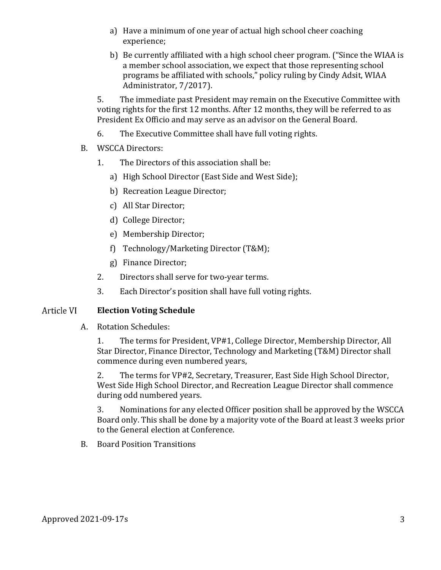- a) Have a minimum of one year of actual high school cheer coaching experience;
- b) Be currently affiliated with a high school cheer program. ("Since the WIAA is a member school association, we expect that those representing school programs be affiliated with schools," policy ruling by Cindy Adsit, WIAA Administrator, 7/2017).

5. The immediate past President may remain on the Executive Committee with voting rights for the first 12 months. After 12 months, they will be referred to as President Ex Officio and may serve as an advisor on the General Board.

- 6. The Executive Committee shall have full voting rights.
- B. WSCCA Directors:
	- 1. The Directors of this association shall be:
		- a) High School Director (East Side and West Side);
		- b) Recreation League Director;
		- c) All Star Director;
		- d) College Director;
		- e) Membership Director;
		- f) Technology/Marketing Director (T&M);
		- g) Finance Director;
	- 2. Directors shall serve for two-year terms.
	- 3. Each Director's position shall have full voting rights.

## Article VI **Election Voting Schedule**

A. Rotation Schedules:

1. The terms for President, VP#1, College Director, Membership Director, All Star Director, Finance Director, Technology and Marketing (T&M) Director shall commence during even numbered years,

2. The terms for VP#2, Secretary, Treasurer, East Side High School Director, West Side High School Director, and Recreation League Director shall commence during odd numbered years.

3. Nominations for any elected Officer position shall be approved by the WSCCA Board only. This shall be done by a majority vote of the Board at least 3 weeks prior to the General election at Conference.

B. Board Position Transitions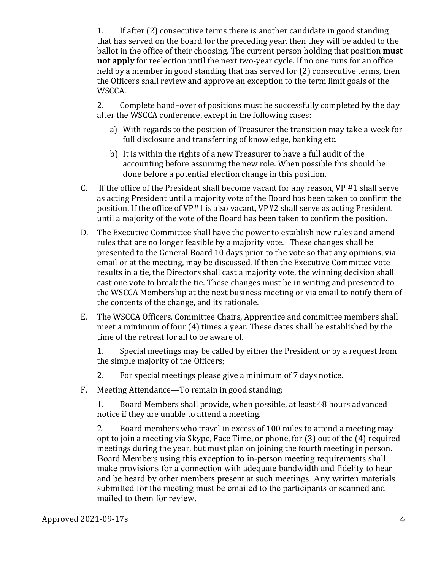1. If after (2) consecutive terms there is another candidate in good standing that has served on the board for the preceding year, then they will be added to the ballot in the office of their choosing. The current person holding that position **must not apply** for reelection until the next two-year cycle. If no one runs for an office held by a member in good standing that has served for  $(2)$  consecutive terms, then the Officers shall review and approve an exception to the term limit goals of the WSCCA.

2. Complete hand-over of positions must be successfully completed by the day after the WSCCA conference, except in the following cases:

- a) With regards to the position of Treasurer the transition may take a week for full disclosure and transferring of knowledge, banking etc.
- b) It is within the rights of a new Treasurer to have a full audit of the accounting before assuming the new role. When possible this should be done before a potential election change in this position.
- C. If the office of the President shall become vacant for any reason,  $VP$  #1 shall serve as acting President until a majority vote of the Board has been taken to confirm the position. If the office of VP#1 is also vacant, VP#2 shall serve as acting President until a majority of the vote of the Board has been taken to confirm the position.
- D. The Executive Committee shall have the power to establish new rules and amend rules that are no longer feasible by a majority vote. These changes shall be presented to the General Board 10 days prior to the vote so that any opinions, via email or at the meeting, may be discussed. If then the Executive Committee vote results in a tie, the Directors shall cast a majority vote, the winning decision shall cast one vote to break the tie. These changes must be in writing and presented to the WSCCA Membership at the next business meeting or via email to notify them of the contents of the change, and its rationale.
- E. The WSCCA Officers, Committee Chairs, Apprentice and committee members shall meet a minimum of four  $(4)$  times a year. These dates shall be established by the time of the retreat for all to be aware of.

1. Special meetings may be called by either the President or by a request from the simple majority of the Officers;

- 2. For special meetings please give a minimum of 7 days notice.
- F. Meeting Attendance—To remain in good standing:

1. Board Members shall provide, when possible, at least 48 hours advanced notice if they are unable to attend a meeting.

2. Board members who travel in excess of 100 miles to attend a meeting may opt to join a meeting via Skype, Face Time, or phone, for  $(3)$  out of the  $(4)$  required meetings during the year, but must plan on joining the fourth meeting in person. Board Members using this exception to in-person meeting requirements shall make provisions for a connection with adequate bandwidth and fidelity to hear and be heard by other members present at such meetings. Any written materials submitted for the meeting must be emailed to the participants or scanned and mailed to them for review.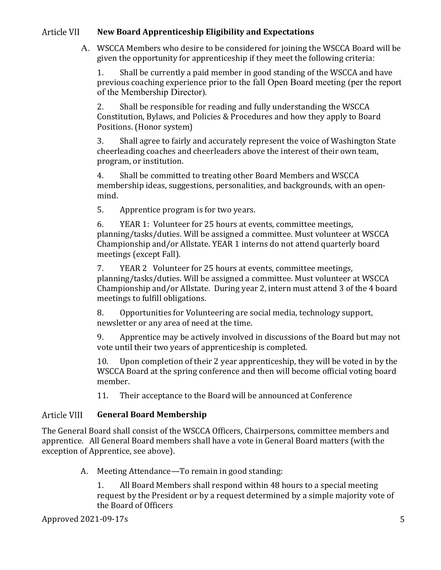# Article VII **New Board Apprenticeship Eligibility and Expectations**

A. WSCCA Members who desire to be considered for joining the WSCCA Board will be given the opportunity for apprenticeship if they meet the following criteria:

1. Shall be currently a paid member in good standing of the WSCCA and have previous coaching experience prior to the fall Open Board meeting (per the report of the Membership Director).

2. Shall be responsible for reading and fully understanding the WSCCA Constitution, Bylaws, and Policies & Procedures and how they apply to Board Positions. (Honor system)

3. Shall agree to fairly and accurately represent the voice of Washington State cheerleading coaches and cheerleaders above the interest of their own team, program, or institution.

4. Shall be committed to treating other Board Members and WSCCA membership ideas, suggestions, personalities, and backgrounds, with an openmind.

5. Apprentice program is for two years.

6. YEAR 1: Volunteer for 25 hours at events, committee meetings, planning/tasks/duties. Will be assigned a committee. Must volunteer at WSCCA Championship and/or Allstate. YEAR 1 interns do not attend quarterly board meetings (except Fall).

7. YEAR 2 Volunteer for 25 hours at events, committee meetings, planning/tasks/duties. Will be assigned a committee. Must volunteer at WSCCA Championship and/or Allstate. During year 2, intern must attend 3 of the 4 board meetings to fulfill obligations.

8. Opportunities for Volunteering are social media, technology support, newsletter or any area of need at the time.

9. Apprentice may be actively involved in discussions of the Board but may not vote until their two years of apprenticeship is completed.

10. Upon completion of their 2 year apprenticeship, they will be voted in by the WSCCA Board at the spring conference and then will become official voting board member.

11. Their acceptance to the Board will be announced at Conference

# Article VIII **General Board Membership**

The General Board shall consist of the WSCCA Officers, Chairpersons, committee members and apprentice. All General Board members shall have a vote in General Board matters (with the exception of Apprentice, see above).

A. Meeting Attendance—To remain in good standing:

1. All Board Members shall respond within 48 hours to a special meeting request by the President or by a request determined by a simple majority vote of the Board of Officers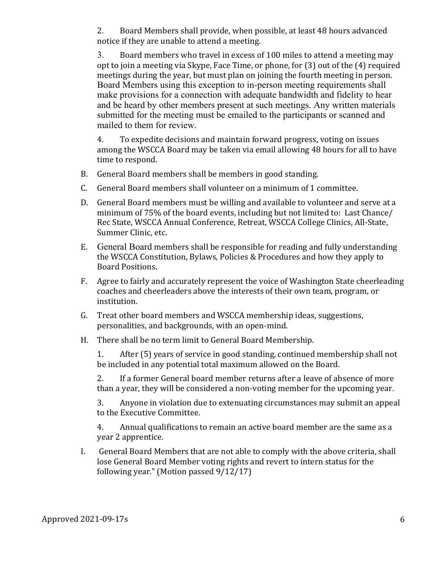2. Board Members shall provide, when possible, at least 48 hours advanced notice if they are unable to attend a meeting.

3. Board members who travel in excess of 100 miles to attend a meeting may opt to join a meeting via Skype, Face Time, or phone, for  $(3)$  out of the  $(4)$  required meetings during the year, but must plan on joining the fourth meeting in person. Board Members using this exception to in-person meeting requirements shall make provisions for a connection with adequate bandwidth and fidelity to hear and be heard by other members present at such meetings. Any written materials submitted for the meeting must be emailed to the participants or scanned and mailed to them for review.

4. To expedite decisions and maintain forward progress, voting on issues among the WSCCA Board may be taken via email allowing 48 hours for all to have time to respond.

- B. General Board members shall be members in good standing.
- C. General Board members shall volunteer on a minimum of 1 committee.
- D. General Board members must be willing and available to volunteer and serve at a minimum of 75% of the board events, including but not limited to: Last Chance/ Rec State, WSCCA Annual Conference, Retreat, WSCCA College Clinics, All-State, Summer Clinic, etc.
- E. General Board members shall be responsible for reading and fully understanding the WSCCA Constitution, Bylaws, Policies & Procedures and how they apply to Board Positions.
- F. Agree to fairly and accurately represent the voice of Washington State cheerleading coaches and cheerleaders above the interests of their own team, program, or institution.
- G. Treat other board members and WSCCA membership ideas, suggestions, personalities, and backgrounds, with an open-mind.
- H. There shall be no term limit to General Board Membership.

1. After (5) years of service in good standing, continued membership shall not be included in any potential total maximum allowed on the Board.

2. If a former General board member returns after a leave of absence of more than a year, they will be considered a non-voting member for the upcoming year.

3. Anyone in violation due to extenuating circumstances may submit an appeal to the Executive Committee.

4. Annual qualifications to remain an active board member are the same as a year 2 apprentice.

I. General Board Members that are not able to comply with the above criteria, shall lose General Board Member voting rights and revert to intern status for the following year." (Motion passed  $9/12/17$ )